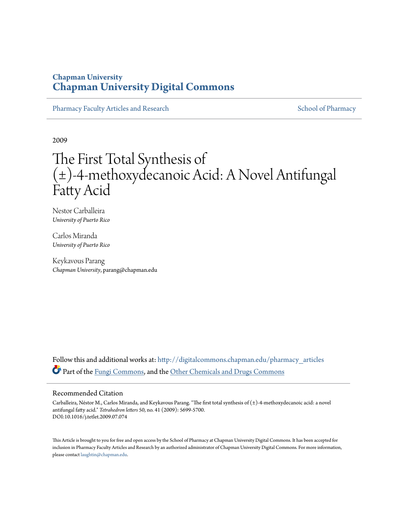# **Chapman University [Chapman University Digital Commons](http://digitalcommons.chapman.edu?utm_source=digitalcommons.chapman.edu%2Fpharmacy_articles%2F81&utm_medium=PDF&utm_campaign=PDFCoverPages)**

[Pharmacy Faculty Articles and Research](http://digitalcommons.chapman.edu/pharmacy_articles?utm_source=digitalcommons.chapman.edu%2Fpharmacy_articles%2F81&utm_medium=PDF&utm_campaign=PDFCoverPages) [School of Pharmacy](http://digitalcommons.chapman.edu/cusp?utm_source=digitalcommons.chapman.edu%2Fpharmacy_articles%2F81&utm_medium=PDF&utm_campaign=PDFCoverPages)

2009

# The First Total Synthesis of (±)-4-methoxydecanoic Acid: A Novel Antifungal Fatty Acid

Nestor Carballeira *University of Puerto Rico*

Carlos Miranda *University of Puerto Rico*

Keykavous Parang *Chapman University*, parang@chapman.edu

Follow this and additional works at: [http://digitalcommons.chapman.edu/pharmacy\\_articles](http://digitalcommons.chapman.edu/pharmacy_articles?utm_source=digitalcommons.chapman.edu%2Fpharmacy_articles%2F81&utm_medium=PDF&utm_campaign=PDFCoverPages) Part of the [Fungi Commons,](http://network.bepress.com/hgg/discipline/962?utm_source=digitalcommons.chapman.edu%2Fpharmacy_articles%2F81&utm_medium=PDF&utm_campaign=PDFCoverPages) and the [Other Chemicals and Drugs Commons](http://network.bepress.com/hgg/discipline/951?utm_source=digitalcommons.chapman.edu%2Fpharmacy_articles%2F81&utm_medium=PDF&utm_campaign=PDFCoverPages)

#### Recommended Citation

Carballeira, Néstor M., Carlos Miranda, and Keykavous Parang. "The first total synthesis of (±)-4-methoxydecanoic acid: a novel antifungal fatty acid." *Tetrahedron letters* 50, no. 41 (2009): 5699-5700. DOI:10.1016/j.tetlet.2009.07.074

This Article is brought to you for free and open access by the School of Pharmacy at Chapman University Digital Commons. It has been accepted for inclusion in Pharmacy Faculty Articles and Research by an authorized administrator of Chapman University Digital Commons. For more information, please contact [laughtin@chapman.edu.](mailto:laughtin@chapman.edu)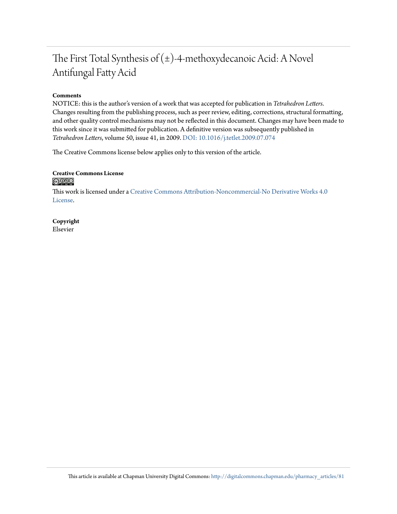# The First Total Synthesis of  $(\pm)$ -4-methoxydecanoic Acid: A Novel Antifungal Fatty Acid

# **Comments**

NOTICE: this is the author's version of a work that was accepted for publication in *Tetrahedron Letters*. Changes resulting from the publishing process, such as peer review, editing, corrections, structural formatting, and other quality control mechanisms may not be reflected in this document. Changes may have been made to this work since it was submitted for publication. A definitive version was subsequently published in *Tetrahedron Letters*, volume 50, issue 41, in 2009. [DOI: 10.1016/j.tetlet.2009.07.074](http://dx.doi.org/10.1016/j.tetlet.2009.07.074)

The Creative Commons license below applies only to this version of the article.

## **Creative Commons License**  $\bigcirc$   $\circ$

This work is licensed under a [Creative Commons Attribution-Noncommercial-No Derivative Works 4.0](http://creativecommons.org/licenses/by-nc-nd/4.0/) [License.](http://creativecommons.org/licenses/by-nc-nd/4.0/)

**Copyright** Elsevier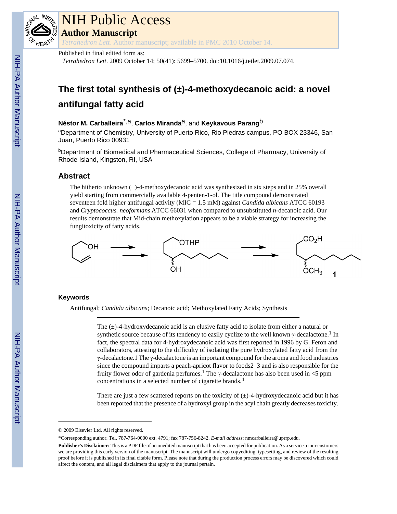

# NIH Public Access

**Author Manuscript**

*Tetrahedron Lett*. Author manuscript; available in PMC 2010 October 14.

Published in final edited form as:

*Tetrahedron Lett*. 2009 October 14; 50(41): 5699–5700. doi:10.1016/j.tetlet.2009.07.074.

# **The first total synthesis of (±)-4-methoxydecanoic acid: a novel antifungal fatty acid**

# **Néstor M. Carballeira**\*,a, **Carlos Miranda**a, and **Keykavous Parang**b

<sup>a</sup>Department of Chemistry, University of Puerto Rico, Rio Piedras campus, PO BOX 23346, San Juan, Puerto Rico 00931

<sup>b</sup>Department of Biomedical and Pharmaceutical Sciences, College of Pharmacy, University of Rhode Island, Kingston, RI, USA

# **Abstract**

The hitherto unknown  $(\pm)$ -4-methoxydecanoic acid was synthesized in six steps and in 25% overall yield starting from commercially available 4-penten-1-ol. The title compound demonstrated seventeen fold higher antifungal activity (MIC = 1.5 mM) against *Candida albicans* ATCC 60193 and *Cryptococcus. neoformans* ATCC 66031 when compared to unsubstituted *n*-decanoic acid. Our results demonstrate that Mid-chain methoxylation appears to be a viable strategy for increasing the fungitoxicity of fatty acids.



# **Keywords**

Antifungal; *Candida albicans*; Decanoic acid; Methoxylated Fatty Acids; Synthesis

The  $(\pm)$ -4-hydroxydecanoic acid is an elusive fatty acid to isolate from either a natural or synthetic source because of its tendency to easily cyclize to the well known  $\gamma$ -decalactone.<sup>1</sup> In fact, the spectral data for 4-hydroxydecanoic acid was first reported in 1996 by G. Feron and collaborators, attesting to the difficulty of isolating the pure hydroxylated fatty acid from the γ-decalactone.1 The γ-decalactone is an important compound for the aroma and food industries since the compound imparts a peach-apricot flavor to foods2<sup>-3</sup> and is also responsible for the fruity flower odor of gardenia perfumes.<sup>1</sup> The γ-decalactone has also been used in <5 ppm concentrations in a selected number of cigarette brands.<sup>4</sup>

There are just a few scattered reports on the toxicity of  $(\pm)$ -4-hydroxydecanoic acid but it has been reported that the presence of a hydroxyl group in the acyl chain greatly decreases toxicity.

<sup>© 2009</sup> Elsevier Ltd. All rights reserved.

<sup>\*</sup>Corresponding author. Tel. 787-764-0000 ext. 4791; fax 787-756-8242. *E-mail address*: nmcarballeira@uprrp.edu.

**Publisher's Disclaimer:** This is a PDF file of an unedited manuscript that has been accepted for publication. As a service to our customers we are providing this early version of the manuscript. The manuscript will undergo copyediting, typesetting, and review of the resulting proof before it is published in its final citable form. Please note that during the production process errors may be discovered which could affect the content, and all legal disclaimers that apply to the journal pertain.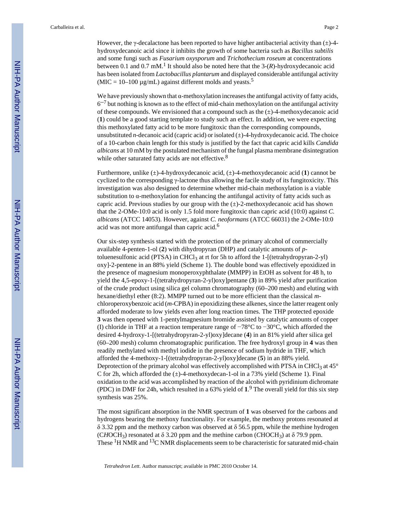However, the γ-decalactone has been reported to have higher antibacterial activity than  $(\pm)$ -4hydroxydecanoic acid since it inhibits the growth of some bacteria such as *Bacillus subtilis* and some fungi such as *Fusarium oxysporum* and *Trichothecium roseum* at concentrations between 0.1 and 0.7 mM.<sup>1</sup> It should also be noted here that the  $3-(R)$ -hydroxydecanoic acid has been isolated from *Lactobacillus plantarum* and displayed considerable antifungal activity  $(MIC = 10-100 \mu g/mL)$  against different molds and yeasts.<sup>5</sup>

We have previously shown that  $\alpha$ -methoxylation increases the antifungal activity of fatty acids,  $6<sup>-7</sup>$  but nothing is known as to the effect of mid-chain methoxylation on the antifungal activity of these compounds. We envisioned that a compound such as the  $(\pm)$ -4-methoxydecanoic acid (**1**) could be a good starting template to study such an effect. In addition, we were expecting this methoxylated fatty acid to be more fungitoxic than the corresponding compounds, unsubstituted *n*-decanoic acid (capric acid) or isolated (±)-4-hydroxydecanoic acid. The choice of a 10-carbon chain length for this study is justified by the fact that capric acid kills *Candida albicans* at 10 mM by the postulated mechanism of the fungal plasma membrane disintegration while other saturated fatty acids are not effective.<sup>8</sup>

Furthermore, unlike (±)-4-hydroxydecanoic acid, (±)-4-methoxydecanoic acid (**1**) cannot be cyclized to the corresponding γ-lactone thus allowing the facile study of its fungitoxicity. This investigation was also designed to determine whether mid-chain methoxylation is a viable substitution to α-methoxylation for enhancing the antifungal activity of fatty acids such as capric acid. Previous studies by our group with the  $(\pm)$ -2-methoxydecanoic acid has shown that the 2-OMe-10:0 acid is only 1.5 fold more fungitoxic than capric acid (10:0) against *C. albicans* (ATCC 14053). However, against *C. neoformans* (ATCC 66031) the 2-OMe-10:0 acid was not more antifungal than capric acid.<sup>6</sup>

Our six-step synthesis started with the protection of the primary alcohol of commercially available 4-penten-1-ol (**2**) with dihydropyran (DHP) and catalytic amounts of *p*toluenesulfonic acid (PTSA) in CHCl<sub>3</sub> at rt for 5h to afford the 1-[(tetrahydropyran-2-yl) oxy]-2-pentene in an 88% yield (Scheme 1). The double bond was effectively epoxidized in the presence of magnesium monoperoxyphthalate (MMPP) in EtOH as solvent for 48 h, to yield the 4,5-epoxy-1-[(tetrahydropyran-2-yl)oxy]pentane (**3**) in 89% yield after purification of the crude product using silica gel column chromatography (60–200 mesh) and eluting with hexane/diethyl ether (8:2). MMPP turned out to be more efficient than the classical *m*chloroperoxybenzoic acid (*m*-CPBA) in epoxidizing these alkenes, since the latter reagent only afforded moderate to low yields even after long reaction times. The THP protected epoxide **3** was then opened with 1-pentylmagnesium bromide assisted by catalytic amounts of copper (I) chloride in THF at a reaction temperature range of −78°C to −30°C, which afforded the desired 4-hydroxy-1-[(tetrahydropyran-2-yl)oxy]decane (**4**) in an 81% yield after silica gel (60–200 mesh) column chromatographic purification. The free hydroxyl group in **4** was then readily methylated with methyl iodide in the presence of sodium hydride in THF, which afforded the 4-methoxy-1-[(tetrahydropyran-2-yl)oxy]decane (**5**) in an 88% yield. Deprotection of the primary alcohol was effectively accomplished with PTSA in CHCl<sub>3</sub> at  $45^{\circ}$ C for 2h, which afforded the  $(\pm)$ -4-methoxydecan-1-ol in a 73% yield (Scheme 1). Final oxidation to the acid was accomplished by reaction of the alcohol with pyridinium dichromate (PDC) in DMF for 24h, which resulted in a 63% yield of **1**. 9 The overall yield for this six step synthesis was 25%.

The most significant absorption in the NMR spectrum of **1** was observed for the carbons and hydrogens bearing the methoxy functionality. For example, the methoxy protons resonated at δ 3.32 ppm and the methoxy carbon was observed at δ 56.5 ppm, while the methine hydrogen (CHOCH<sub>3</sub>) resonated at  $\delta$  3.20 ppm and the methine carbon (CHOCH<sub>3</sub>) at  $\delta$  79.9 ppm. These  ${}^{1}$ H NMR and  ${}^{13}$ C NMR displacements seem to be characteristic for saturated mid-chain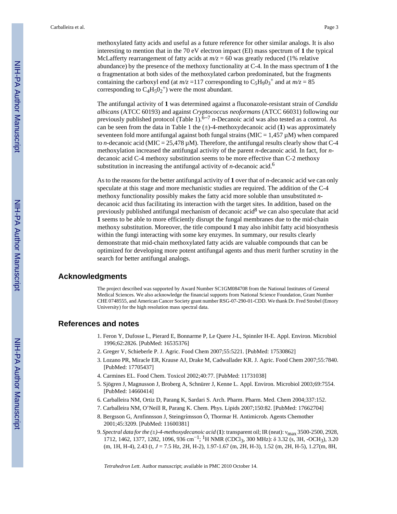methoxylated fatty acids and useful as a future reference for other similar analogs. It is also interesting to mention that in the 70 eV electron impact (EI) mass spectrum of **1** the typical McLafferty rearrangement of fatty acids at  $m/z = 60$  was greatly reduced (1% relative abundance) by the presence of the methoxy functionality at C-4. In the mass spectrum of **1** the α fragmentation at both sides of the methoxylated carbon predominated, but the fragments containing the carboxyl end (at  $m/z = 117$  corresponding to  $C_5H_9O_3^+$  and at  $m/z = 85$ corresponding to  $C_4H_5O_2^+$ ) were the most abundant.

The antifungal activity of **1** was determined against a fluconazole-resistant strain of *Candida albicans* (ATCC 60193) and against *Cryptococcus neoformans* (ATCC 66031) following our previously published protocol (Table 1).<sup> $6-7$ </sup> *n*-Decanoic acid was also tested as a control. As can be seen from the data in Table 1 the  $(\pm)$ -4-methoxydecanoic acid (1) was approximately seventeen fold more antifungal against both fungal strains ( $MIC = 1,457 \mu M$ ) when compared to *n*-decanoic acid (MIC =  $25,478 \mu$ M). Therefore, the antifungal results clearly show that C-4 methoxylation increased the antifungal activity of the parent *n*-decanoic acid. In fact, for *n*decanoic acid C-4 methoxy substitution seems to be more effective than C-2 methoxy substitution in increasing the antifungal activity of *n*-decanoic acid.<sup>6</sup>

As to the reasons for the better antifungal activity of **1** over that of *n*-decanoic acid we can only speculate at this stage and more mechanistic studies are required. The addition of the C-4 methoxy functionality possibly makes the fatty acid more soluble than unsubstituted *n*decanoic acid thus facilitating its interaction with the target sites. In addition, based on the previously published antifungal mechanism of decanoic acid<sup>8</sup> we can also speculate that acid **1** seems to be able to more efficiently disrupt the fungal membranes due to the mid-chain methoxy substitution. Moreover, the title compound **1** may also inhibit fatty acid biosynthesis within the fungi interacting with some key enzymes. In summary, our results clearly demonstrate that mid-chain methoxylated fatty acids are valuable compounds that can be optimized for developing more potent antifungal agents and thus merit further scrutiny in the search for better antifungal analogs.

## **Acknowledgments**

The project described was supported by Award Number SC1GM084708 from the National Institutes of General Medical Sciences. We also acknowledge the financial supports from National Science Foundation, Grant Number CHE 0748555, and American Cancer Society grant number RSG-07-290-01-CDD. We thank Dr. Fred Strobel (Emory University) for the high resolution mass spectral data.

#### **References and notes**

- 1. Feron Y, Dufosse L, Pierard E, Bonnarme P, Le Quere J-L, Spinnler H-E. Appl. Environ. Microbiol 1996;62:2826. [PubMed: 16535376]
- 2. Greger V, Schieberle P. J. Agric. Food Chem 2007;55:5221. [PubMed: 17530862]
- 3. Lozano PR, Miracle ER, Krause AJ, Drake M, Cadwallader KR. J. Agric. Food Chem 2007;55:7840. [PubMed: 17705437]
- 4. Carmines EL. Food Chem. Toxicol 2002;40:77. [PubMed: 11731038]
- 5. Sjögren J, Magnusson J, Broberg A, Schnürer J, Kenne L. Appl. Environ. Microbiol 2003;69:7554. [PubMed: 14660414]
- 6. Carballeira NM, Ortiz D, Parang K, Sardari S. Arch. Pharm. Pharm. Med. Chem 2004;337:152.
- 7. Carballeira NM, O'Neill R, Parang K. Chem. Phys. Lipids 2007;150:82. [PubMed: 17662704]
- 8. Bergsson G, Arnfinnsson J, Steingrímsson Ó, Thormar H. Antimicrob. Agents Chemother 2001;45:3209. [PubMed: 11600381]
- 9. *Spectral data for the (±)-4-methoxydecanoic acid* (**1**): transparent oil; IR (neat): νmax 3500-2500, 2928, 1712, 1462, 1377, 1282, 1096, 936 cm<sup>-1</sup>; <sup>1</sup>H NMR (CDCl<sub>3</sub>, 300 MHz): δ 3.32 (s, 3H, -OCH<sub>3</sub>), 3.20 (m, 1H, H-4), 2.43 (t, *J* = 7.5 Hz, 2H, H-2), 1.97-1.67 (m, 2H, H-3), 1.52 (m, 2H, H-5), 1.27(m, 8H,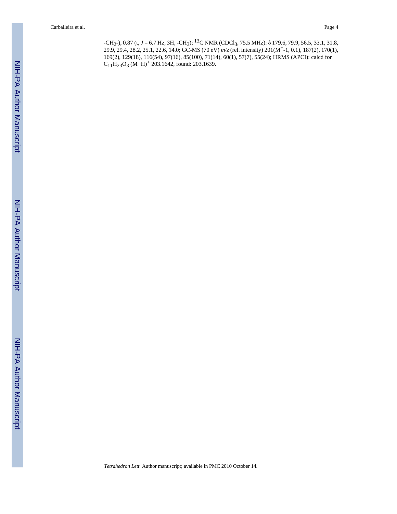-CH2-), 0.87 (t, *J* = 6.7 Hz, 3H, -CH3); 13C NMR (CDCl3, 75.5 MHz): δ 179.6, 79.9, 56.5, 33.1, 31.8, 29.9, 29.4, 28.2, 25.1, 22.6, 14.0; GC-MS (70 eV) *m/z* (rel. intensity) 201(M+-1, 0.1), 187(2), 170(1), 169(2), 129(18), 116(54), 97(16), 85(100), 71(14), 60(1), 57(7), 55(24); HRMS (APCI): calcd for  $C_{11}H_{23}O_3$  (M+H)<sup>+</sup> 203.1642, found: 203.1639.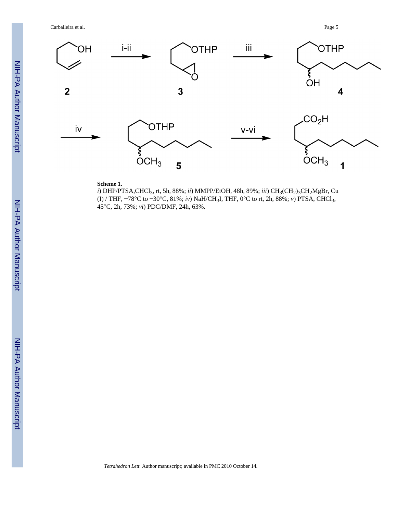Carballeira et al. Page 5



### **Scheme 1.**

*i*) DHP/PTSA, CHCl<sub>3</sub>, rt, 5h, 88%; *ii*) MMPP/EtOH, 48h, 89%; *iii*) CH<sub>3</sub>(CH<sub>2</sub>)<sub>3</sub>CH<sub>2</sub>MgBr, Cu (I) / THF, −78°C to −30°C, 81%; *iv*) NaH/CH3I, THF, 0°C to rt, 2h, 88%; *v*) PTSA, CHCl3, 45°C, 2h, 73%; *vi*) PDC/DMF, 24h, 63%.